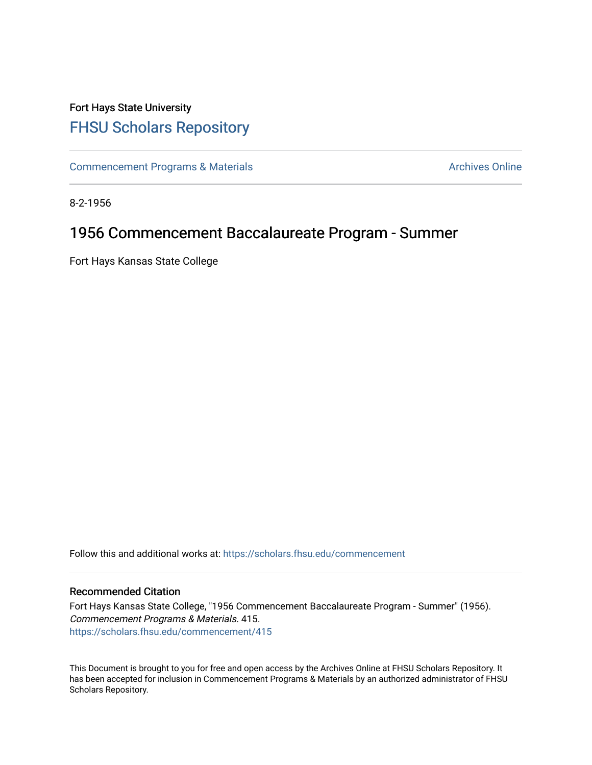# Fort Hays State University [FHSU Scholars Repository](https://scholars.fhsu.edu/)

[Commencement Programs & Materials](https://scholars.fhsu.edu/commencement) **Archives Online** Archives Online

8-2-1956

# 1956 Commencement Baccalaureate Program - Summer

Fort Hays Kansas State College

Follow this and additional works at: [https://scholars.fhsu.edu/commencement](https://scholars.fhsu.edu/commencement?utm_source=scholars.fhsu.edu%2Fcommencement%2F415&utm_medium=PDF&utm_campaign=PDFCoverPages)

### Recommended Citation

Fort Hays Kansas State College, "1956 Commencement Baccalaureate Program - Summer" (1956). Commencement Programs & Materials. 415. [https://scholars.fhsu.edu/commencement/415](https://scholars.fhsu.edu/commencement/415?utm_source=scholars.fhsu.edu%2Fcommencement%2F415&utm_medium=PDF&utm_campaign=PDFCoverPages)

This Document is brought to you for free and open access by the Archives Online at FHSU Scholars Repository. It has been accepted for inclusion in Commencement Programs & Materials by an authorized administrator of FHSU Scholars Repository.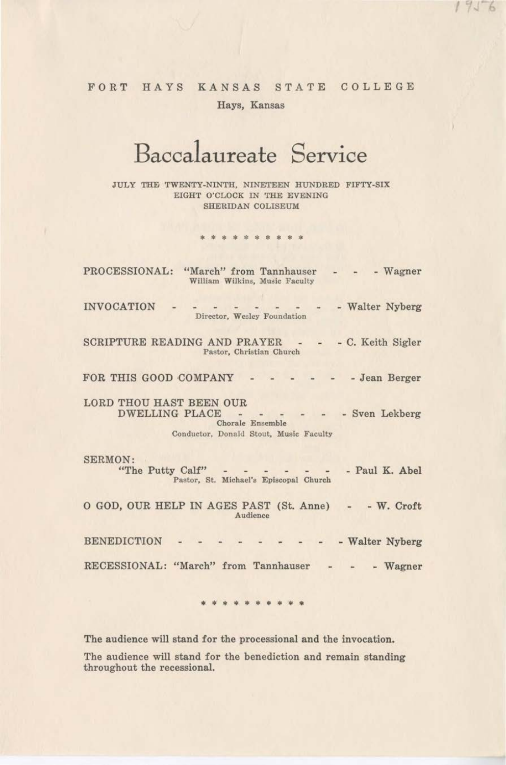## FORT HAYS KANSAS STATE COLLEGE Hays, Kansas

*I* 

# **Baccalaureate Service**

JULY THE TWENTY-NINTH, NINETEEN HUNDRED FIFTY-SIX EIGHT O'CLOCK IN THE EVENING SHERIDAN COLISEUM

#### \* \* \* \* \* \* \* \* \*

| PROCESSIONAL: "March" from Tannhauser<br>- Wagner<br>William Wilkins, Music Faculty                                               |
|-----------------------------------------------------------------------------------------------------------------------------------|
| <b>INVOCATION</b><br>- Walter Nyberg<br>Director, Wesley Foundation                                                               |
| SCRIPTURE READING AND PRAYER -<br>- C. Keith Sigler<br>Pastor, Christian Church                                                   |
| FOR THIS GOOD COMPANY<br>- Jean Berger                                                                                            |
| LORD THOU HAST BEEN OUR<br>DWELLING PLACE - - - -<br>- Sven Lekberg<br>Chorale Ensemble<br>Conductor, Donald Stout, Music Faculty |
| SERMON:<br>- Paul K. Abel<br>"The Putty Calf"<br>Pastor, St. Michael's Episcopal Church                                           |
| O GOD, OUR HELP IN AGES PAST (St. Anne) - - W. Croft<br>Audience                                                                  |
| <b>BENEDICTION</b><br>- Walter Nyberg                                                                                             |
| RECESSIONAL: "March" from Tannhauser<br>- Wagner                                                                                  |

• • \* \* \* \* • \* \* •

The audience will stand for the processional and the invocation.

The audience will stand for the benediction and remain standing throughout the recessional.